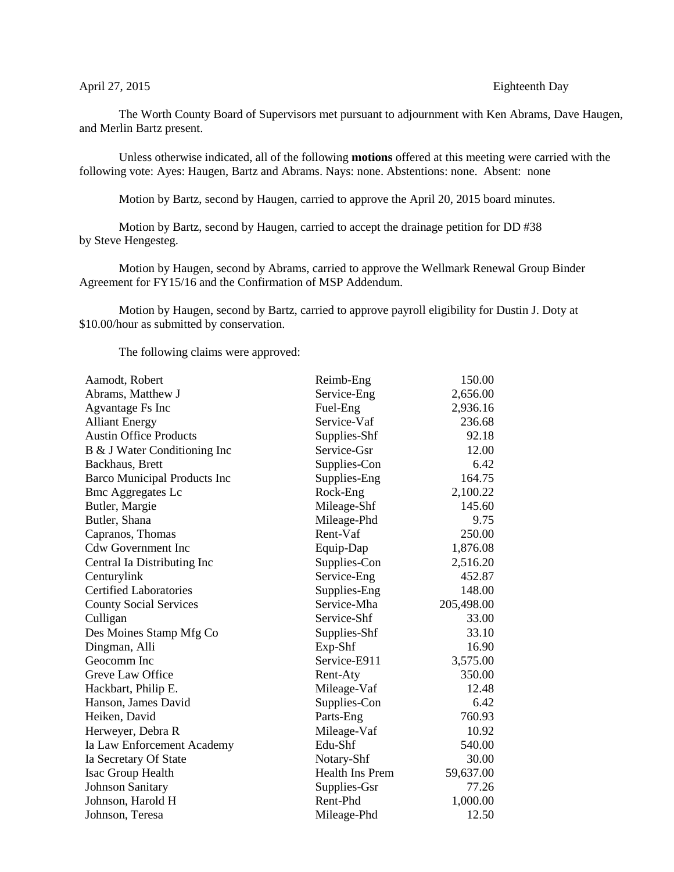## April 27, 2015 Eighteenth Day

The Worth County Board of Supervisors met pursuant to adjournment with Ken Abrams, Dave Haugen, and Merlin Bartz present.

Unless otherwise indicated, all of the following **motions** offered at this meeting were carried with the following vote: Ayes: Haugen, Bartz and Abrams. Nays: none. Abstentions: none. Absent: none

Motion by Bartz, second by Haugen, carried to approve the April 20, 2015 board minutes.

Motion by Bartz, second by Haugen, carried to accept the drainage petition for DD #38 by Steve Hengesteg.

Motion by Haugen, second by Abrams, carried to approve the Wellmark Renewal Group Binder Agreement for FY15/16 and the Confirmation of MSP Addendum.

Motion by Haugen, second by Bartz, carried to approve payroll eligibility for Dustin J. Doty at \$10.00/hour as submitted by conservation.

The following claims were approved:

| Aamodt, Robert                      | Reimb-Eng       | 150.00     |
|-------------------------------------|-----------------|------------|
| Abrams, Matthew J                   | Service-Eng     | 2,656.00   |
| Agvantage Fs Inc                    | Fuel-Eng        | 2,936.16   |
| <b>Alliant Energy</b>               | Service-Vaf     | 236.68     |
| <b>Austin Office Products</b>       | Supplies-Shf    | 92.18      |
| B & J Water Conditioning Inc        | Service-Gsr     | 12.00      |
| Backhaus, Brett                     | Supplies-Con    | 6.42       |
| <b>Barco Municipal Products Inc</b> | Supplies-Eng    | 164.75     |
| <b>Bmc Aggregates Lc</b>            | Rock-Eng        | 2,100.22   |
| Butler, Margie                      | Mileage-Shf     | 145.60     |
| Butler, Shana                       | Mileage-Phd     | 9.75       |
| Capranos, Thomas                    | Rent-Vaf        | 250.00     |
| <b>Cdw Government Inc</b>           | Equip-Dap       | 1,876.08   |
| Central Ia Distributing Inc         | Supplies-Con    | 2,516.20   |
| Centurylink                         | Service-Eng     | 452.87     |
| <b>Certified Laboratories</b>       | Supplies-Eng    | 148.00     |
| <b>County Social Services</b>       | Service-Mha     | 205,498.00 |
| Culligan                            | Service-Shf     | 33.00      |
| Des Moines Stamp Mfg Co             | Supplies-Shf    | 33.10      |
| Dingman, Alli                       | $Exp-Shf$       | 16.90      |
| Geocomm Inc                         | Service-E911    | 3,575.00   |
| Greve Law Office                    | Rent-Aty        | 350.00     |
| Hackbart, Philip E.                 | Mileage-Vaf     | 12.48      |
| Hanson, James David                 | Supplies-Con    | 6.42       |
| Heiken, David                       | Parts-Eng       | 760.93     |
| Herweyer, Debra R                   | Mileage-Vaf     | 10.92      |
| Ia Law Enforcement Academy          | Edu-Shf         | 540.00     |
| Ia Secretary Of State               | Notary-Shf      | 30.00      |
| Isac Group Health                   | Health Ins Prem | 59,637.00  |
| <b>Johnson Sanitary</b>             | Supplies-Gsr    | 77.26      |
| Johnson, Harold H                   | Rent-Phd        | 1,000.00   |
| Johnson, Teresa                     | Mileage-Phd     | 12.50      |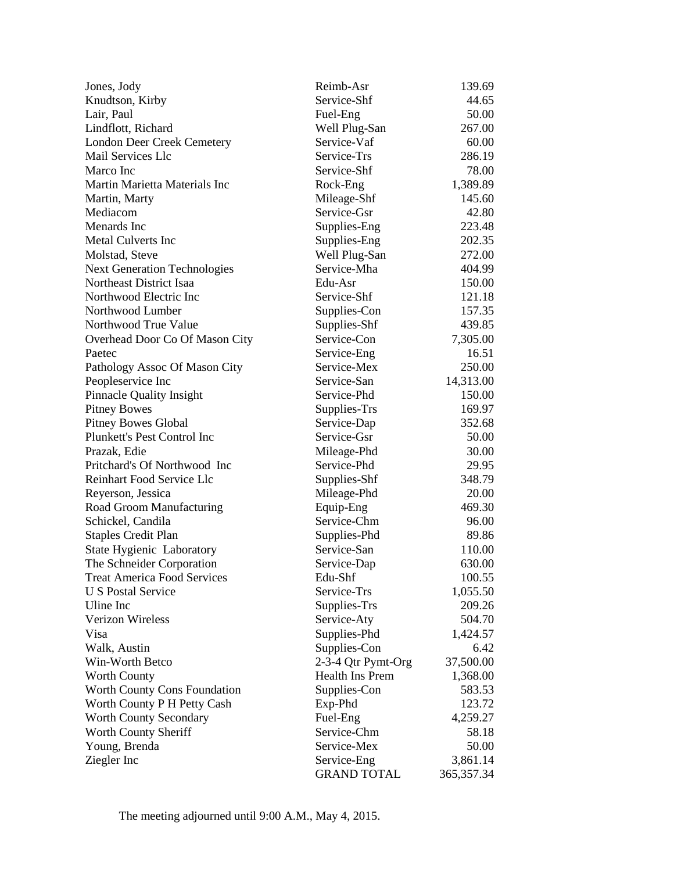| Jones, Jody                         | Reimb-Asr          | 139.69       |
|-------------------------------------|--------------------|--------------|
| Knudtson, Kirby                     | Service-Shf        | 44.65        |
| Lair, Paul                          | Fuel-Eng           | 50.00        |
| Lindflott, Richard                  | Well Plug-San      | 267.00       |
| <b>London Deer Creek Cemetery</b>   | Service-Vaf        | 60.00        |
| Mail Services Llc                   | Service-Trs        | 286.19       |
| Marco Inc                           | Service-Shf        | 78.00        |
| Martin Marietta Materials Inc       | Rock-Eng           | 1,389.89     |
| Martin, Marty                       | Mileage-Shf        | 145.60       |
| Mediacom                            | Service-Gsr        | 42.80        |
| Menards Inc                         | Supplies-Eng       | 223.48       |
| <b>Metal Culverts Inc</b>           | Supplies-Eng       | 202.35       |
| Molstad, Steve                      | Well Plug-San      | 272.00       |
| <b>Next Generation Technologies</b> | Service-Mha        | 404.99       |
| Northeast District Isaa             | Edu-Asr            | 150.00       |
| Northwood Electric Inc              | Service-Shf        | 121.18       |
| Northwood Lumber                    | Supplies-Con       | 157.35       |
| Northwood True Value                | Supplies-Shf       | 439.85       |
| Overhead Door Co Of Mason City      | Service-Con        | 7,305.00     |
| Paetec                              | Service-Eng        | 16.51        |
| Pathology Assoc Of Mason City       | Service-Mex        | 250.00       |
| Peopleservice Inc                   | Service-San        | 14,313.00    |
|                                     | Service-Phd        | 150.00       |
| <b>Pinnacle Quality Insight</b>     |                    |              |
| <b>Pitney Bowes</b>                 | Supplies-Trs       | 169.97       |
| <b>Pitney Bowes Global</b>          | Service-Dap        | 352.68       |
| Plunkett's Pest Control Inc         | Service-Gsr        | 50.00        |
| Prazak, Edie                        | Mileage-Phd        | 30.00        |
| Pritchard's Of Northwood Inc        | Service-Phd        | 29.95        |
| Reinhart Food Service Llc           | Supplies-Shf       | 348.79       |
| Reyerson, Jessica                   | Mileage-Phd        | 20.00        |
| Road Groom Manufacturing            | Equip-Eng          | 469.30       |
| Schickel, Candila                   | Service-Chm        | 96.00        |
| <b>Staples Credit Plan</b>          | Supplies-Phd       | 89.86        |
| State Hygienic Laboratory           | Service-San        | 110.00       |
| The Schneider Corporation           | Service-Dap        | 630.00       |
| <b>Treat America Food Services</b>  | Edu-Shf            | 100.55       |
| <b>U S Postal Service</b>           | Service-Trs        | 1,055.50     |
| Uline Inc                           | Supplies-Trs       | 209.26       |
| <b>Verizon Wireless</b>             | Service-Aty        | 504.70       |
| Visa                                | Supplies-Phd       | 1,424.57     |
| Walk, Austin                        | Supplies-Con       | 6.42         |
| Win-Worth Betco                     | 2-3-4 Qtr Pymt-Org | 37,500.00    |
| <b>Worth County</b>                 | Health Ins Prem    | 1,368.00     |
| <b>Worth County Cons Foundation</b> | Supplies-Con       | 583.53       |
| Worth County P H Petty Cash         | Exp-Phd            | 123.72       |
| <b>Worth County Secondary</b>       | Fuel-Eng           | 4,259.27     |
| Worth County Sheriff                | Service-Chm        | 58.18        |
| Young, Brenda                       | Service-Mex        | 50.00        |
| Ziegler Inc                         | Service-Eng        | 3,861.14     |
|                                     | <b>GRAND TOTAL</b> | 365, 357. 34 |